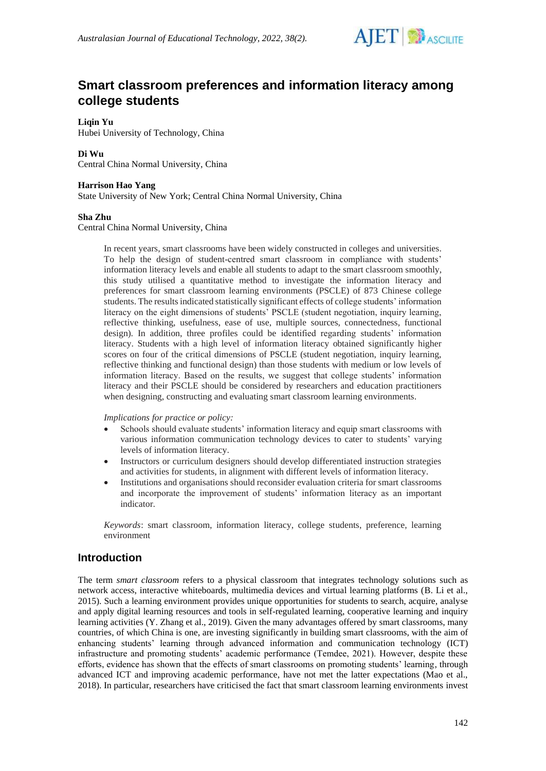

# **Smart classroom preferences and information literacy among college students**

**Liqin Yu** Hubei University of Technology, China

### **Di Wu**

Central China Normal University, China

### **Harrison Hao Yang**

State University of New York; Central China Normal University, China

#### **Sha Zhu**

Central China Normal University, China

In recent years, smart classrooms have been widely constructed in colleges and universities. To help the design of student-centred smart classroom in compliance with students' information literacy levels and enable all students to adapt to the smart classroom smoothly, this study utilised a quantitative method to investigate the information literacy and preferences for smart classroom learning environments (PSCLE) of 873 Chinese college students. The results indicated statistically significant effects of college students' information literacy on the eight dimensions of students' PSCLE (student negotiation, inquiry learning, reflective thinking, usefulness, ease of use, multiple sources, connectedness, functional design). In addition, three profiles could be identified regarding students' information literacy. Students with a high level of information literacy obtained significantly higher scores on four of the critical dimensions of PSCLE (student negotiation, inquiry learning, reflective thinking and functional design) than those students with medium or low levels of information literacy. Based on the results, we suggest that college students' information literacy and their PSCLE should be considered by researchers and education practitioners when designing, constructing and evaluating smart classroom learning environments.

*Implications for practice or policy:*

- Schools should evaluate students' information literacy and equip smart classrooms with various information communication technology devices to cater to students' varying levels of information literacy.
- Instructors or curriculum designers should develop differentiated instruction strategies and activities for students, in alignment with different levels of information literacy.
- Institutions and organisations should reconsider evaluation criteria for smart classrooms and incorporate the improvement of students' information literacy as an important indicator.

*Keywords*: smart classroom, information literacy, college students, preference, learning environment

### **Introduction**

The term *smart classroom* refers to a physical classroom that integrates technology solutions such as network access, interactive whiteboards, multimedia devices and virtual learning platforms (B. Li et al., 2015). Such a learning environment provides unique opportunities for students to search, acquire, analyse and apply digital learning resources and tools in self-regulated learning, cooperative learning and inquiry learning activities (Y. Zhang et al., 2019). Given the many advantages offered by smart classrooms, many countries, of which China is one, are investing significantly in building smart classrooms, with the aim of enhancing students' learning through advanced information and communication technology (ICT) infrastructure and promoting students' academic performance (Temdee, 2021). However, despite these efforts, evidence has shown that the effects of smart classrooms on promoting students' learning, through advanced ICT and improving academic performance, have not met the latter expectations (Mao et al., 2018). In particular, researchers have criticised the fact that smart classroom learning environments invest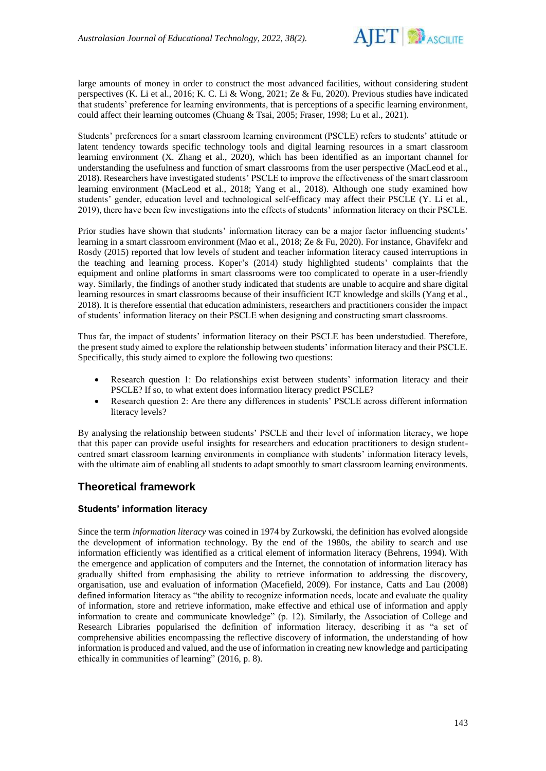

large amounts of money in order to construct the most advanced facilities, without considering student perspectives (K. Li et al., 2016; K. C. Li & Wong, 2021; Ze & Fu, 2020). Previous studies have indicated that students' preference for learning environments, that is perceptions of a specific learning environment, could affect their learning outcomes (Chuang & Tsai, 2005; Fraser, 1998; Lu et al., 2021).

Students' preferences for a smart classroom learning environment (PSCLE) refers to students' attitude or latent tendency towards specific technology tools and digital learning resources in a smart classroom learning environment (X. Zhang et al., 2020), which has been identified as an important channel for understanding the usefulness and function of smart classrooms from the user perspective (MacLeod et al., 2018). Researchers have investigated students' PSCLE to improve the effectiveness of the smart classroom learning environment (MacLeod et al., 2018; Yang et al., 2018). Although one study examined how students' gender, education level and technological self-efficacy may affect their PSCLE (Y. Li et al., 2019), there have been few investigations into the effects of students' information literacy on their PSCLE.

Prior studies have shown that students' information literacy can be a major factor influencing students' learning in a smart classroom environment (Mao et al., 2018; Ze & Fu, 2020). For instance, Ghavifekr and Rosdy (2015) reported that low levels of student and teacher information literacy caused interruptions in the teaching and learning process. Koper's (2014) study highlighted students' complaints that the equipment and online platforms in smart classrooms were too complicated to operate in a user-friendly way. Similarly, the findings of another study indicated that students are unable to acquire and share digital learning resources in smart classrooms because of their insufficient ICT knowledge and skills (Yang et al., 2018). It is therefore essential that education administers, researchers and practitioners consider the impact of students' information literacy on their PSCLE when designing and constructing smart classrooms.

Thus far, the impact of students' information literacy on their PSCLE has been understudied. Therefore, the present study aimed to explore the relationship between students' information literacy and their PSCLE. Specifically, this study aimed to explore the following two questions:

- Research question 1: Do relationships exist between students' information literacy and their PSCLE? If so, to what extent does information literacy predict PSCLE?
- Research question 2: Are there any differences in students' PSCLE across different information literacy levels?

By analysing the relationship between students' PSCLE and their level of information literacy, we hope that this paper can provide useful insights for researchers and education practitioners to design studentcentred smart classroom learning environments in compliance with students' information literacy levels, with the ultimate aim of enabling all students to adapt smoothly to smart classroom learning environments.

# **Theoretical framework**

### **Students' information literacy**

Since the term *information literacy* was coined in 1974 by Zurkowski, the definition has evolved alongside the development of information technology. By the end of the 1980s, the ability to search and use information efficiently was identified as a critical element of information literacy (Behrens, 1994). With the emergence and application of computers and the Internet, the connotation of information literacy has gradually shifted from emphasising the ability to retrieve information to addressing the discovery, organisation, use and evaluation of information (Macefield, 2009). For instance, Catts and Lau (2008) defined information literacy as "the ability to recognize information needs, locate and evaluate the quality of information, store and retrieve information, make effective and ethical use of information and apply information to create and communicate knowledge" (p. 12). Similarly, the Association of College and Research Libraries popularised the definition of information literacy, describing it as "a set of comprehensive abilities encompassing the reflective discovery of information, the understanding of how information is produced and valued, and the use of information in creating new knowledge and participating ethically in communities of learning" (2016, p. 8).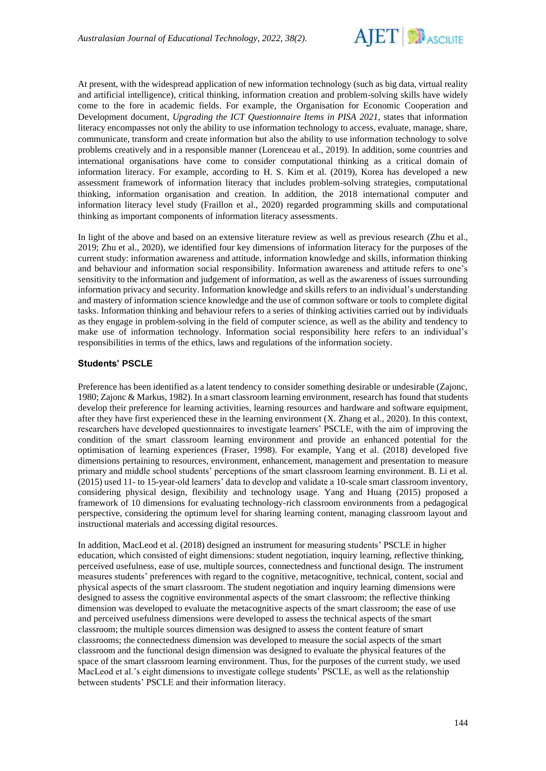

At present, with the widespread application of new information technology (such as big data, virtual reality and artificial intelligence), critical thinking, information creation and problem-solving skills have widely come to the fore in academic fields. For example, the Organisation for Economic Cooperation and Development document, *Upgrading the ICT Questionnaire Items in PISA 2021*, states that information literacy encompasses not only the ability to use information technology to access, evaluate, manage, share, communicate, transform and create information but also the ability to use information technology to solve problems creatively and in a responsible manner (Lorenceau et al., 2019). In addition, some countries and international organisations have come to consider computational thinking as a critical domain of information literacy. For example, according to H. S. Kim et al. (2019), Korea has developed a new assessment framework of information literacy that includes problem-solving strategies, computational thinking, information organisation and creation. In addition, the 2018 international computer and information literacy level study (Fraillon et al., 2020) regarded programming skills and computational thinking as important components of information literacy assessments.

In light of the above and based on an extensive literature review as well as previous research (Zhu et al., 2019; Zhu et al., 2020), we identified four key dimensions of information literacy for the purposes of the current study: information awareness and attitude, information knowledge and skills, information thinking and behaviour and information social responsibility. Information awareness and attitude refers to one's sensitivity to the information and judgement of information, as well as the awareness of issues surrounding information privacy and security. Information knowledge and skills refers to an individual's understanding and mastery of information science knowledge and the use of common software or tools to complete digital tasks. Information thinking and behaviour refers to a series of thinking activities carried out by individuals as they engage in problem-solving in the field of computer science, as well as the ability and tendency to make use of information technology. Information social responsibility here refers to an individual's responsibilities in terms of the ethics, laws and regulations of the information society.

#### **Students' PSCLE**

Preference has been identified as a latent tendency to consider something desirable or undesirable (Zajonc, 1980; Zajonc & Markus, 1982). In a smart classroom learning environment, research has found that students develop their preference for learning activities, learning resources and hardware and software equipment, after they have first experienced these in the learning environment (X. Zhang et al., 2020). In this context, researchers have developed questionnaires to investigate learners' PSCLE, with the aim of improving the condition of the smart classroom learning environment and provide an enhanced potential for the optimisation of learning experiences (Fraser, 1998). For example, Yang et al. (2018) developed five dimensions pertaining to resources, environment, enhancement, management and presentation to measure primary and middle school students' perceptions of the smart classroom learning environment. B. Li et al. (2015) used 11- to 15-year-old learners' data to develop and validate a 10-scale smart classroom inventory, considering physical design, flexibility and technology usage. Yang and Huang (2015) proposed a framework of 10 dimensions for evaluating technology-rich classroom environments from a pedagogical perspective, considering the optimum level for sharing learning content, managing classroom layout and instructional materials and accessing digital resources.

In addition, MacLeod et al. (2018) designed an instrument for measuring students' PSCLE in higher education, which consisted of eight dimensions: student negotiation, inquiry learning, reflective thinking, perceived usefulness, ease of use, multiple sources, connectedness and functional design. The instrument measures students' preferences with regard to the cognitive, metacognitive, technical, content, social and physical aspects of the smart classroom. The student negotiation and inquiry learning dimensions were designed to assess the cognitive environmental aspects of the smart classroom; the reflective thinking dimension was developed to evaluate the metacognitive aspects of the smart classroom; the ease of use and perceived usefulness dimensions were developed to assess the technical aspects of the smart classroom; the multiple sources dimension was designed to assess the content feature of smart classrooms; the connectedness dimension was developed to measure the social aspects of the smart classroom and the functional design dimension was designed to evaluate the physical features of the space of the smart classroom learning environment. Thus, for the purposes of the current study, we used MacLeod et al.'s eight dimensions to investigate college students' PSCLE, as well as the relationship between students' PSCLE and their information literacy.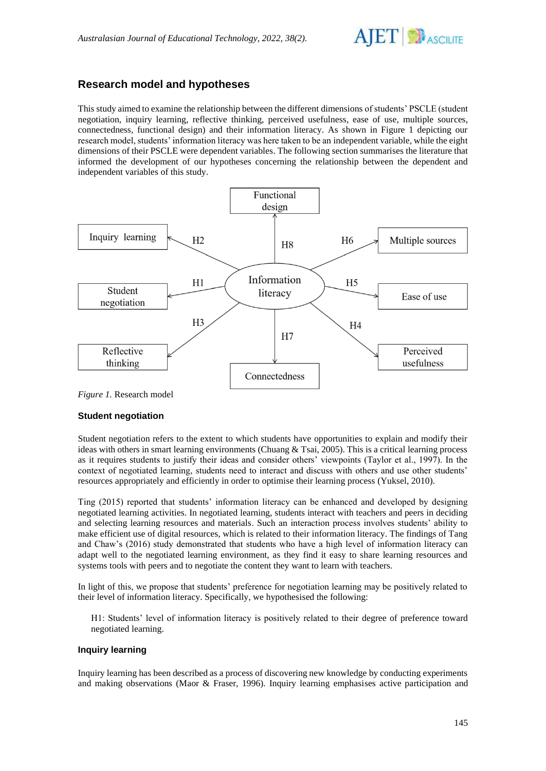

# **Research model and hypotheses**

This study aimed to examine the relationship between the different dimensions of students' PSCLE (student negotiation, inquiry learning, reflective thinking, perceived usefulness, ease of use, multiple sources, connectedness, functional design) and their information literacy. As shown in Figure 1 depicting our research model, students' information literacy was here taken to be an independent variable, while the eight dimensions of their PSCLE were dependent variables. The following section summarises the literature that informed the development of our hypotheses concerning the relationship between the dependent and independent variables of this study.



*Figure 1.* Research model

### **Student negotiation**

Student negotiation refers to the extent to which students have opportunities to explain and modify their ideas with others in smart learning environments (Chuang & Tsai, 2005). This is a critical learning process as it requires students to justify their ideas and consider others' viewpoints (Taylor et al., 1997). In the context of negotiated learning, students need to interact and discuss with others and use other students' resources appropriately and efficiently in order to optimise their learning process [\(Yuksel, 2010\)](https://www.sciencedirect.com/science/article/pii/S1096751615000226#bb0210).

Ting (2015) reported that students' information literacy can be enhanced and developed by designing negotiated learning activities. In negotiated learning, students interact with teachers and peers in deciding and selecting learning resources and materials. Such an interaction process involves students' ability to make efficient use of digital resources, which is related to their information literacy. The findings of Tang and Chaw's (2016) study demonstrated that students who have a high level of information literacy can adapt well to the negotiated learning environment, as they find it easy to share learning resources and systems tools with peers and to negotiate the content they want to learn with teachers.

In light of this, we propose that students' preference for negotiation learning may be positively related to their level of information literacy. Specifically, we hypothesised the following:

H1: Students' level of information literacy is positively related to their degree of preference toward negotiated learning.

### **Inquiry learning**

Inquiry learning has been described as a process of discovering new knowledge by conducting experiments and making observations (Maor & Fraser, 1996). Inquiry learning emphasises active participation and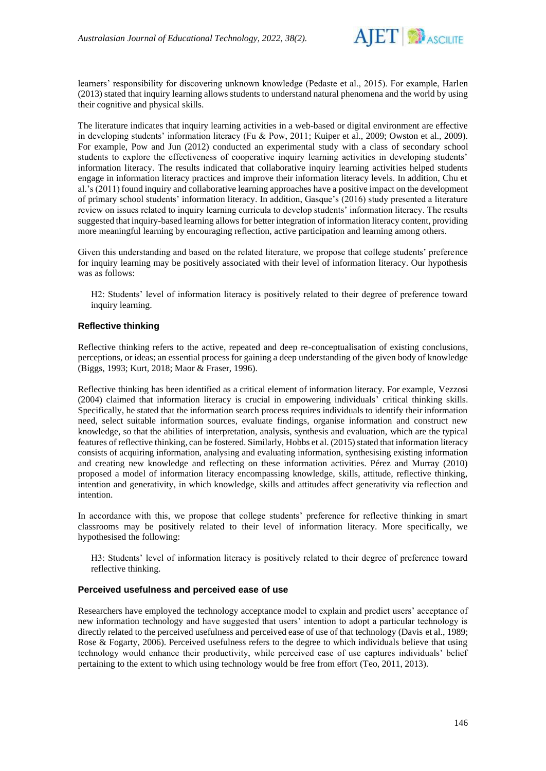

learners' responsibility for discovering unknown knowledge (Pedaste et al., 2015). For example, Harlen (2013) stated that inquiry learning allows students to understand natural phenomena and the world by using their cognitive and physical skills.

The literature indicates that inquiry learning activities in a web-based or digital environment are effective in developing students' information literacy (Fu & Pow, 2011; Kuiper et al., 2009; Owston et al., 2009). For example, Pow and Jun (2012) conducted an experimental study with a class of secondary school students to explore the effectiveness of cooperative inquiry learning activities in developing students' information literacy. The results indicated that collaborative inquiry learning activities helped students engage in information literacy practices and improve their information literacy levels. In addition, Chu et al.'s (2011) found inquiry and collaborative learning approaches have a positive impact on the development of primary school students' information literacy. In addition, Gasque's (2016) study presented a literature review on issues related to inquiry learning curricula to develop students' information literacy. The results suggested that inquiry-based learning allows for better integration of information literacy content, providing more meaningful learning by encouraging reflection, active participation and learning among others.

Given this understanding and based on the related literature, we propose that college students' preference for inquiry learning may be positively associated with their level of information literacy. Our hypothesis was as follows:

H2: Students' level of information literacy is positively related to their degree of preference toward inquiry learning.

### **Reflective thinking**

Reflective thinking refers to the active, repeated and deep re-conceptualisation of existing conclusions, perceptions, or ideas; an essential process for gaining a deep understanding of the given body of knowledge (Biggs, 1993; Kurt, 2018; Maor & Fraser, 1996).

Reflective thinking has been identified as a critical element of information literacy. For example, Vezzosi (2004) claimed that information literacy is crucial in empowering individuals' critical thinking skills. Specifically, he stated that the information search process requires individuals to identify their information need, select suitable information sources, evaluate findings, organise information and construct new knowledge, so that the abilities of interpretation, analysis, synthesis and evaluation, which are the typical features of reflective thinking, can be fostered.Similarly, Hobbs et al. (2015) stated that information literacy consists of acquiring information, analysing and evaluating information, synthesising existing information and creating new knowledge and reflecting on these information activities. Pérez and Murray (2010) proposed a model of information literacy encompassing knowledge, skills, attitude, reflective thinking, intention and generativity, in which knowledge, skills and attitudes affect generativity via reflection and intention.

In accordance with this, we propose that college students' preference for reflective thinking in smart classrooms may be positively related to their level of information literacy. More specifically, we hypothesised the following:

H3: Students' level of information literacy is positively related to their degree of preference toward reflective thinking.

### **Perceived usefulness and perceived ease of use**

Researchers have employed the technology acceptance model to explain and predict users' acceptance of new information technology and have suggested that users' intention to adopt a particular technology is directly related to the perceived usefulness and perceived ease of use of that technology (Davis et al., 1989; Rose & Fogarty, 2006). Perceived usefulness refers to the degree to which individuals believe that using technology would enhance their productivity, while perceived ease of use captures individuals' belief pertaining to the extent to which using technology would be free from effort (Teo, 2011, 2013).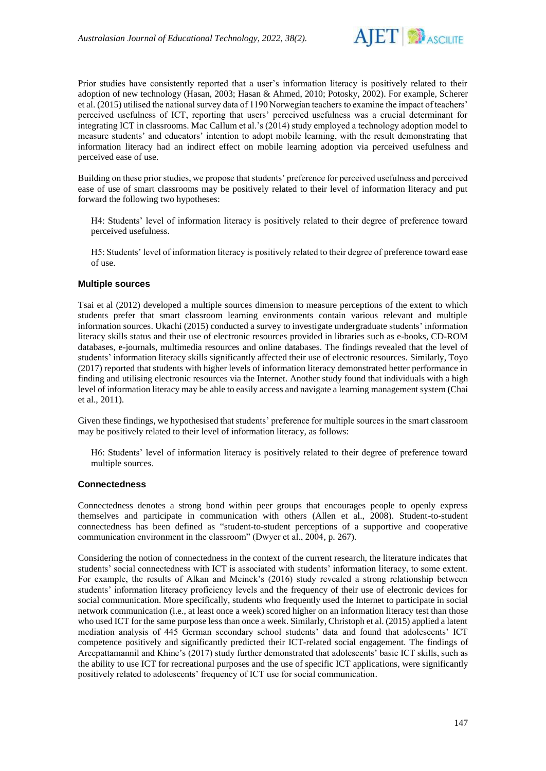

Prior studies have consistently reported that a user's information literacy is positively related to their adoption of new technology (Hasan, 2003; Hasan & Ahmed, 2010; Potosky, 2002). For example, Scherer et al. (2015) utilised the national survey data of 1190 Norwegian teachers to examine the impact of teachers' perceived usefulness of ICT, reporting that users' perceived usefulness was a crucial determinant for integrating ICT in classrooms. Mac Callum et al.'s (2014) study employed a technology adoption model to measure students' and educators' intention to adopt mobile learning, with the result demonstrating that information literacy had an indirect effect on mobile learning adoption via perceived usefulness and perceived ease of use.

Building on these prior studies, we propose that students' preference for perceived usefulness and perceived ease of use of smart classrooms may be positively related to their level of information literacy and put forward the following two hypotheses:

H4: Students' level of information literacy is positively related to their degree of preference toward perceived usefulness.

H5: Students' level of information literacy is positively related to their degree of preference toward ease of use.

#### **Multiple sources**

Tsai et al (2012) developed a multiple sources dimension to measure perceptions of the extent to which students prefer that smart classroom learning environments contain various relevant and multiple information sources. Ukachi (2015) conducted a survey to investigate undergraduate students' information literacy skills status and their use of electronic resources provided in libraries such as e-books, CD-ROM databases, e-journals, multimedia resources and online databases. The findings revealed that the level of students' information literacy skills significantly affected their use of electronic resources. Similarly, Toyo (2017) reported that students with higher levels of information literacy demonstrated better performance in finding and utilising electronic resources via the Internet. Another study found that individuals with a high level of information literacy may be able to easily access and navigate a learning management system (Chai et al., 2011).

Given these findings, we hypothesised that students' preference for multiple sources in the smart classroom may be positively related to their level of information literacy, as follows:

H6: Students' level of information literacy is positively related to their degree of preference toward multiple sources.

#### **Connectedness**

Connectedness denotes a strong bond within peer groups that encourages people to openly express themselves and participate in communication with others (Allen et al., 2008). Student-to-student connectedness has been defined as "student-to-student perceptions of a supportive and cooperative communication environment in the classroom" (Dwyer et al., 2004, p. 267).

Considering the notion of connectedness in the context of the current research, the literature indicates that students' social connectedness with ICT is associated with students' information literacy, to some extent. For example, the results of Alkan and Meinck's (2016) study revealed a strong relationship between students' information literacy proficiency levels and the frequency of their use of electronic devices for social communication. More specifically, students who frequently used the Internet to participate in social network communication (i.e., at least once a week) scored higher on an information literacy test than those who used ICT for the same purpose less than once a week. Similarly, Christoph et al. (2015) applied a latent mediation analysis of 445 German secondary school students' data and found that adolescents' ICT competence positively and significantly predicted their ICT-related social engagement. The findings of Areepattamannil and Khine's (2017) study further demonstrated that adolescents' basic ICT skills, such as the ability to use ICT for recreational purposes and the use of specific ICT applications, were significantly positively related to adolescents' frequency of ICT use for social communication.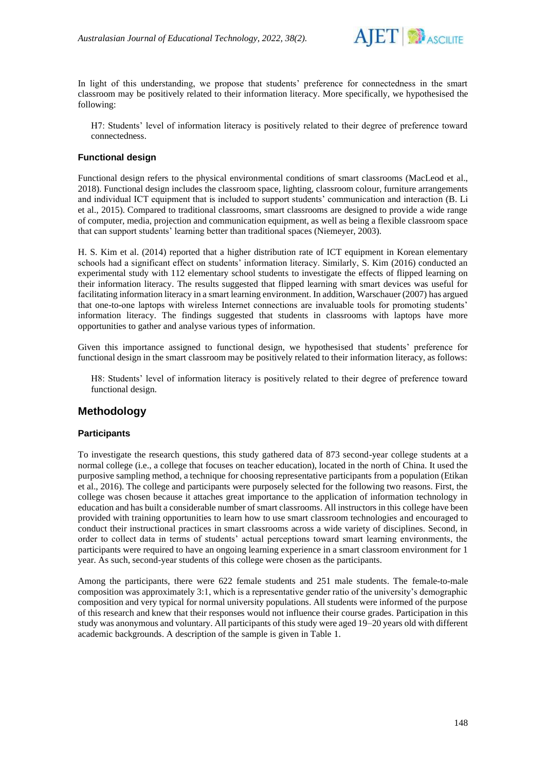

In light of this understanding, we propose that students' preference for connectedness in the smart classroom may be positively related to their information literacy. More specifically, we hypothesised the following:

H7: Students' level of information literacy is positively related to their degree of preference toward connectedness.

### **Functional design**

Functional design refers to the physical environmental conditions of smart classrooms (MacLeod et al., 2018). Functional design includes the classroom space, lighting, classroom colour, furniture arrangements and individual ICT equipment that is included to support students' communication and interaction (B. Li et al., 2015). Compared to traditional classrooms, smart classrooms are designed to provide a wide range of computer, media, projection and communication equipment, as well as being a flexible classroom space that can support students' learning better than traditional spaces (Niemeyer, 2003).

H. S. Kim et al. (2014) reported that a higher distribution rate of ICT equipment in Korean elementary schools had a significant effect on students' information literacy. Similarly, S. Kim (2016) conducted an experimental study with 112 elementary school students to investigate the effects of flipped learning on their information literacy. The results suggested that flipped learning with smart devices was useful for facilitating information literacy in a smart learning environment. In addition, Warschauer (2007) has argued that one-to-one laptops with wireless Internet connections are invaluable tools for promoting students' information literacy. The findings suggested that students in classrooms with laptops have more opportunities to gather and analyse various types of information.

Given this importance assigned to functional design, we hypothesised that students' preference for functional design in the smart classroom may be positively related to their information literacy, as follows:

H8: Students' level of information literacy is positively related to their degree of preference toward functional design.

# **Methodology**

### **Participants**

To investigate the research questions, this study gathered data of 873 second-year college students at a normal college (i.e., a college that focuses on teacher education), located in the north of China. It used the purposive sampling method, a technique for choosing representative participants from a population (Etikan et al., 2016). The college and participants were purposely selected for the following two reasons. First, the college was chosen because it attaches great importance to the application of information technology in education and has built a considerable number of smart classrooms. All instructors in this college have been provided with training opportunities to learn how to use smart classroom technologies and encouraged to conduct their instructional practices in smart classrooms across a wide variety of disciplines. Second, in order to collect data in terms of students' actual perceptions toward smart learning environments, the participants were required to have an ongoing learning experience in a smart classroom environment for 1 year. As such, second-year students of this college were chosen as the participants.

Among the participants, there were 622 female students and 251 male students. The female-to-male composition was approximately 3:1, which is a representative gender ratio of the university's demographic composition and very typical for normal university populations. All students were informed of the purpose of this research and knew that their responses would not influence their course grades. Participation in this study was anonymous and voluntary. All participants of this study were aged 19–20 years old with different academic backgrounds. A description of the sample is given in Table 1.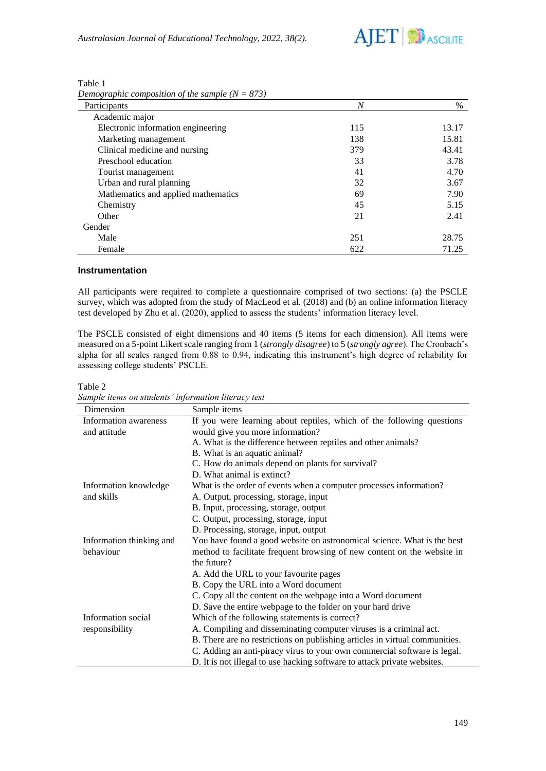

| Participants                        | $\overline{N}$ | $\%$  |
|-------------------------------------|----------------|-------|
| Academic major                      |                |       |
| Electronic information engineering  | 115            | 13.17 |
| Marketing management                | 138            | 15.81 |
| Clinical medicine and nursing       | 379            | 43.41 |
| Preschool education                 | 33             | 3.78  |
| Tourist management                  | 41             | 4.70  |
| Urban and rural planning            | 32             | 3.67  |
| Mathematics and applied mathematics | 69             | 7.90  |
| Chemistry                           | 45             | 5.15  |
| Other                               | 21             | 2.41  |
| Gender                              |                |       |
| Male                                | 251            | 28.75 |
| Female                              | 622            | 71.25 |

| Table 1                                           |  |
|---------------------------------------------------|--|
| Demographic composition of the sample $(N = 873)$ |  |

### **Instrumentation**

All participants were required to complete a questionnaire comprised of two sections: (a) the PSCLE survey, which was adopted from the study of MacLeod et al. (2018) and (b) an online information literacy test developed by Zhu et al. (2020), applied to assess the students' information literacy level.

The PSCLE consisted of eight dimensions and 40 items (5 items for each dimension). All items were measured on a 5-point Likert scale ranging from 1 (*strongly disagree*) to 5 (*strongly agree*). The Cronbach's alpha for all scales ranged from 0.88 to 0.94, indicating this instrument's high degree of reliability for assessing college students' PSCLE.

Table 2

| Dimension                | Sample items                                                                |
|--------------------------|-----------------------------------------------------------------------------|
| Information awareness    | If you were learning about reptiles, which of the following questions       |
| and attitude             | would give you more information?                                            |
|                          | A. What is the difference between reptiles and other animals?               |
|                          | B. What is an aquatic animal?                                               |
|                          | C. How do animals depend on plants for survival?                            |
|                          | D. What animal is extinct?                                                  |
| Information knowledge    | What is the order of events when a computer processes information?          |
| and skills               | A. Output, processing, storage, input                                       |
|                          | B. Input, processing, storage, output                                       |
|                          | C. Output, processing, storage, input                                       |
|                          | D. Processing, storage, input, output                                       |
| Information thinking and | You have found a good website on astronomical science. What is the best     |
| behaviour                | method to facilitate frequent browsing of new content on the website in     |
|                          | the future?                                                                 |
|                          | A. Add the URL to your favourite pages                                      |
|                          | B. Copy the URL into a Word document                                        |
|                          | C. Copy all the content on the webpage into a Word document                 |
|                          | D. Save the entire webpage to the folder on your hard drive                 |
| Information social       | Which of the following statements is correct?                               |
| responsibility           | A. Compiling and disseminating computer viruses is a criminal act.          |
|                          | B. There are no restrictions on publishing articles in virtual communities. |
|                          | C. Adding an anti-piracy virus to your own commercial software is legal.    |
|                          | D. It is not illegal to use hacking software to attack private websites.    |

*Sample items on students' information literacy test*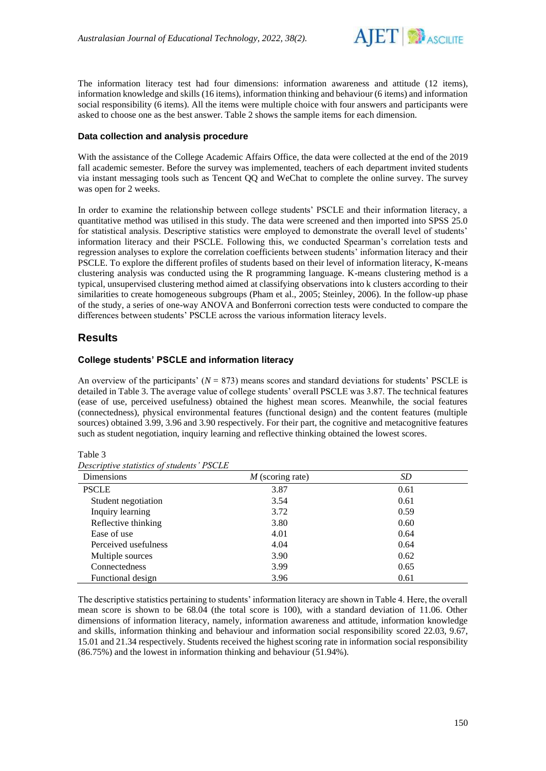

The information literacy test had four dimensions: information awareness and attitude (12 items), information knowledge and skills (16 items), information thinking and behaviour (6 items) and information social responsibility (6 items). All the items were multiple choice with four answers and participants were asked to choose one as the best answer. Table 2 shows the sample items for each dimension.

### **Data collection and analysis procedure**

With the assistance of the College Academic Affairs Office, the data were collected at the end of the 2019 fall academic semester. Before the survey was implemented, teachers of each department invited students via instant messaging tools such as Tencent QQ and WeChat to complete the online survey. The survey was open for 2 weeks.

In order to examine the relationship between college students' PSCLE and their information literacy, a quantitative method was utilised in this study. The data were screened and then imported into SPSS 25.0 for statistical analysis. Descriptive statistics were employed to demonstrate the overall level of students' information literacy and their PSCLE. Following this, we conducted Spearman's correlation tests and regression analyses to explore the correlation coefficients between students' information literacy and their PSCLE. To explore the different profiles of students based on their level of information literacy, K-means clustering analysis was conducted using the R programming language. K-means clustering method is a typical, unsupervised clustering method aimed at classifying observations into k clusters according to their similarities to create homogeneous subgroups (Pham et al., 2005; Steinley, 2006). In the follow-up phase of the study, a series of one-way ANOVA and Bonferroni correction tests were conducted to compare the differences between students' PSCLE across the various information literacy levels.

### **Results**

### **College students' PSCLE and information literacy**

An overview of the participants'  $(N = 873)$  means scores and standard deviations for students' PSCLE is detailed in Table 3. The average value of college students' overall PSCLE was 3.87. The technical features (ease of use, perceived usefulness) obtained the highest mean scores. Meanwhile, the social features (connectedness), physical environmental features (functional design) and the content features (multiple sources) obtained 3.99, 3.96 and 3.90 respectively. For their part, the cognitive and metacognitive features such as student negotiation, inquiry learning and reflective thinking obtained the lowest scores.

Table 3

| Descriptive statistics of students' PSCLE |  |
|-------------------------------------------|--|
|-------------------------------------------|--|

| Dimensions           | $M$ (scoring rate) | SD   |
|----------------------|--------------------|------|
| <b>PSCLE</b>         | 3.87               | 0.61 |
| Student negotiation  | 3.54               | 0.61 |
| Inquiry learning     | 3.72               | 0.59 |
| Reflective thinking  | 3.80               | 0.60 |
| Ease of use          | 4.01               | 0.64 |
| Perceived usefulness | 4.04               | 0.64 |
| Multiple sources     | 3.90               | 0.62 |
| Connectedness        | 3.99               | 0.65 |
| Functional design    | 3.96               | 0.61 |

The descriptive statistics pertaining to students' information literacy are shown in Table 4. Here, the overall mean score is shown to be 68.04 (the total score is 100), with a standard deviation of 11.06. Other dimensions of information literacy, namely, information awareness and attitude, information knowledge and skills, information thinking and behaviour and information social responsibility scored 22.03, 9.67, 15.01 and 21.34 respectively. Students received the highest scoring rate in information social responsibility (86.75%) and the lowest in information thinking and behaviour (51.94%).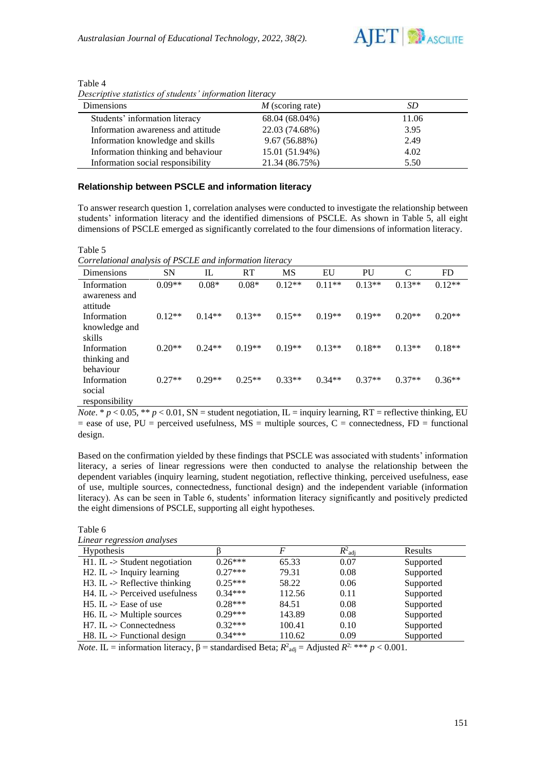

| Dimensions                         | $M$ (scoring rate) | SD    |
|------------------------------------|--------------------|-------|
| Students' information literacy     | 68.04 (68.04%)     | 11.06 |
| Information awareness and attitude | 22.03 (74.68%)     | 3.95  |
| Information knowledge and skills   | 9.67(56.88%)       | 2.49  |
| Information thinking and behaviour | 15.01 (51.94%)     | 4.02  |
| Information social responsibility  | 21.34 (86.75%)     | 5.50  |

Table 4 *Descriptive statistics of students' information literacy*

### **Relationship between PSCLE and information literacy**

To answer research question 1, correlation analyses were conducted to investigate the relationship between students' information literacy and the identified dimensions of PSCLE. As shown in Table 5, all eight dimensions of PSCLE emerged as significantly correlated to the four dimensions of information literacy.

Table 5

*Correlational analysis of PSCLE and information literacy*

| Dimensions                               | $\cdot$<br><b>SN</b> | $\cdot$<br>IL | RT       | MS       | EU       | PU       | C        | <b>FD</b> |
|------------------------------------------|----------------------|---------------|----------|----------|----------|----------|----------|-----------|
| Information<br>awareness and<br>attitude | $0.09**$             | $0.08*$       | $0.08*$  | $0.12**$ | $0.11**$ | $0.13**$ | $0.13**$ | $0.12**$  |
| Information<br>knowledge and<br>skills   | $0.12**$             | $0.14**$      | $0.13**$ | $0.15**$ | $0.19**$ | $0.19**$ | $0.20**$ | $0.20**$  |
| Information<br>thinking and<br>behaviour | $0.20**$             | $0.24**$      | $0.19**$ | $0.19**$ | $0.13**$ | $0.18**$ | $0.13**$ | $0.18**$  |
| Information<br>social<br>responsibility  | $0.27**$             | $0.29**$      | $0.25**$ | $0.33**$ | $0.34**$ | $0.37**$ | $0.37**$ | $0.36**$  |

*Note*. \*  $p < 0.05$ , \*\*  $p < 0.01$ , SN = student negotiation, IL = inquiry learning, RT = reflective thinking, EU  $=$  ease of use, PU = perceived usefulness, MS = multiple sources, C = connectedness, FD = functional design.

Based on the confirmation yielded by these findings that PSCLE was associated with students' information literacy, a series of linear regressions were then conducted to analyse the relationship between the dependent variables (inquiry learning, student negotiation, reflective thinking, perceived usefulness, ease of use, multiple sources, connectedness, functional design) and the independent variable (information literacy). As can be seen in Table 6, students' information literacy significantly and positively predicted the eight dimensions of PSCLE, supporting all eight hypotheses.

Table 6

| Linear regression analyses |  |
|----------------------------|--|
|                            |  |

| писат тедтезмот анатузез                    |           |        |                    |                |
|---------------------------------------------|-----------|--------|--------------------|----------------|
| Hypothesis                                  |           |        | $R^2_{\text{adj}}$ | <b>Results</b> |
| $H1. IL \rightarrow Student \, negotiation$ | $0.26***$ | 65.33  | 0.07               | Supported      |
| $H2$ . IL $\rightarrow$ Inquiry learning    | $0.27***$ | 79.31  | 0.08               | Supported      |
| $H3.$ IL -> Reflective thinking             | $0.25***$ | 58.22  | 0.06               | Supported      |
| $H4$ . IL -> Perceived usefulness           | $0.34***$ | 112.56 | 0.11               | Supported      |
| $H5.$ IL $\rightarrow$ Ease of use          | $0.28***$ | 84.51  | 0.08               | Supported      |
| $H6.$ IL $\rightarrow$ Multiple sources     | $0.29***$ | 143.89 | 0.08               | Supported      |
| $H7.$ IL -> Connectedness                   | $0.32***$ | 100.41 | 0.10               | Supported      |
| $H8$ . IL -> Functional design              | $0.34***$ | 110.62 | 0.09               | Supported      |

*Note*. **IL** = information literacy,  $\beta$  = standardised Beta;  $R^2_{\text{adj}}$  = Adjusted  $R^2$ ; \*\*\*  $p < 0.001$ .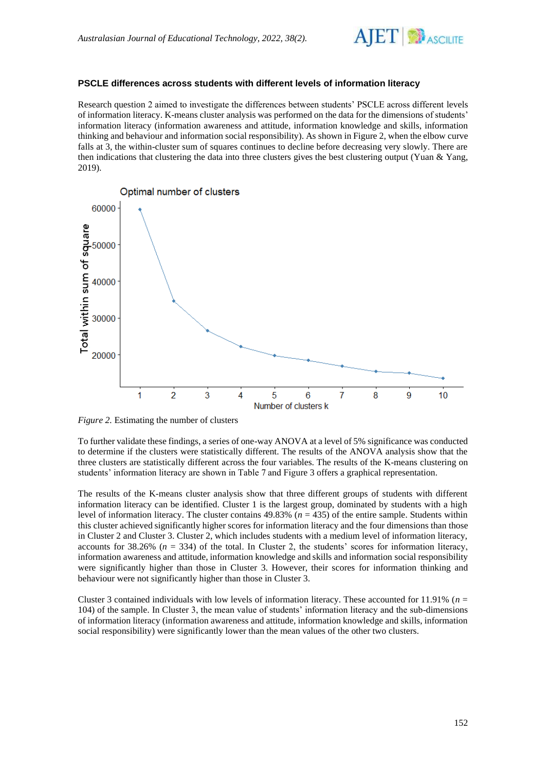

### **PSCLE differences across students with different levels of information literacy**

Research question 2 aimed to investigate the differences between students' PSCLE across different levels of information literacy. K-means cluster analysis was performed on the data for the dimensions of students' information literacy (information awareness and attitude, information knowledge and skills, information thinking and behaviour and information social responsibility). As shown in Figure 2, when the elbow curve falls at 3, the within-cluster sum of squares continues to decline before decreasing very slowly. There are then indications that clustering the data into three clusters gives the best clustering output (Yuan & Yang, 2019).



*Figure 2.* Estimating the number of clusters

To further validate these findings, a series of one-way ANOVA at a level of 5% significance was conducted to determine if the clusters were statistically different. The results of the ANOVA analysis show that the three clusters are statistically different across the four variables. The results of the K-means clustering on students' information literacy are shown in Table 7 and Figure 3 offers a graphical representation.

The results of the K-means cluster analysis show that three different groups of students with different information literacy can be identified. Cluster 1 is the largest group, dominated by students with a high level of information literacy. The cluster contains 49.83% (*n* = 435) of the entire sample. Students within this cluster achieved significantly higher scores for information literacy and the four dimensions than those in Cluster 2 and Cluster 3. Cluster 2, which includes students with a medium level of information literacy, accounts for  $38.26\%$  ( $n = 334$ ) of the total. In Cluster 2, the students' scores for information literacy, information awareness and attitude, information knowledge and skills and information social responsibility were significantly higher than those in Cluster 3. However, their scores for information thinking and behaviour were not significantly higher than those in Cluster 3.

Cluster 3 contained individuals with low levels of information literacy. These accounted for 11.91% (*n* = 104) of the sample. In Cluster 3, the mean value of students' information literacy and the sub-dimensions of information literacy (information awareness and attitude, information knowledge and skills, information social responsibility) were significantly lower than the mean values of the other two clusters.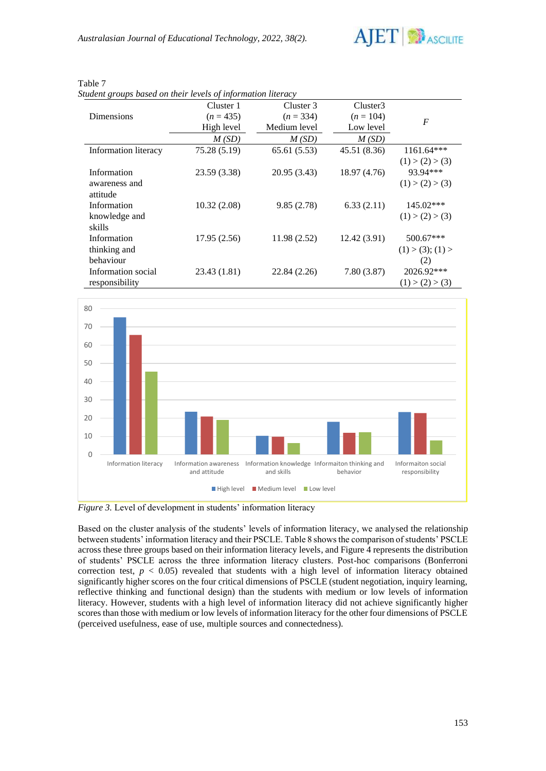

|                              | Cluster 1    | Cluster 3    | Cluster3     |                                                |
|------------------------------|--------------|--------------|--------------|------------------------------------------------|
| <b>Dimensions</b>            | $(n = 435)$  | $(n = 334)$  | $(n = 104)$  | $\boldsymbol{F}$                               |
|                              | High level   | Medium level | Low level    |                                                |
|                              | M(SD)        | M(SD)        | M(SD)        |                                                |
| Information literacy         | 75.28 (5.19) | 65.61 (5.53) | 45.51 (8.36) | $1161.64***$                                   |
| Information<br>awareness and | 23.59 (3.38) | 20.95 (3.43) | 18.97 (4.76) | (1) > (2) > (3)<br>93.94***<br>(1) > (2) > (3) |
| attitude<br>Information      | 10.32(2.08)  | 9.85(2.78)   | 6.33(2.11)   | 145.02***                                      |
| knowledge and<br>skills      |              |              |              | (1) > (2) > (3)                                |
| Information<br>thinking and  | 17.95(2.56)  | 11.98(2.52)  | 12.42(3.91)  | 500.67***<br>(1) > (3); (1) >                  |
| behaviour                    |              |              |              | (2)                                            |
| Information social           | 23.43 (1.81) | 22.84 (2.26) | 7.80(3.87)   | 2026.92***                                     |
| responsibility               |              |              |              | (1) > (2) > (3)                                |

### Table 7

*Student groups based on their levels of information literacy*



*Figure 3.* Level of development in students' information literacy

Based on the cluster analysis of the students' levels of information literacy, we analysed the relationship between students' information literacy and their PSCLE. Table 8 shows the comparison of students' PSCLE across these three groups based on their information literacy levels, and Figure 4 represents the distribution of students' PSCLE across the three information literacy clusters. Post-hoc comparisons (Bonferroni correction test,  $p < 0.05$ ) revealed that students with a high level of information literacy obtained significantly higher scores on the four critical dimensions of PSCLE (student negotiation, inquiry learning, reflective thinking and functional design) than the students with medium or low levels of information literacy. However, students with a high level of information literacy did not achieve significantly higher scores than those with medium or low levels of information literacy for the other four dimensions of PSCLE (perceived usefulness, ease of use, multiple sources and connectedness).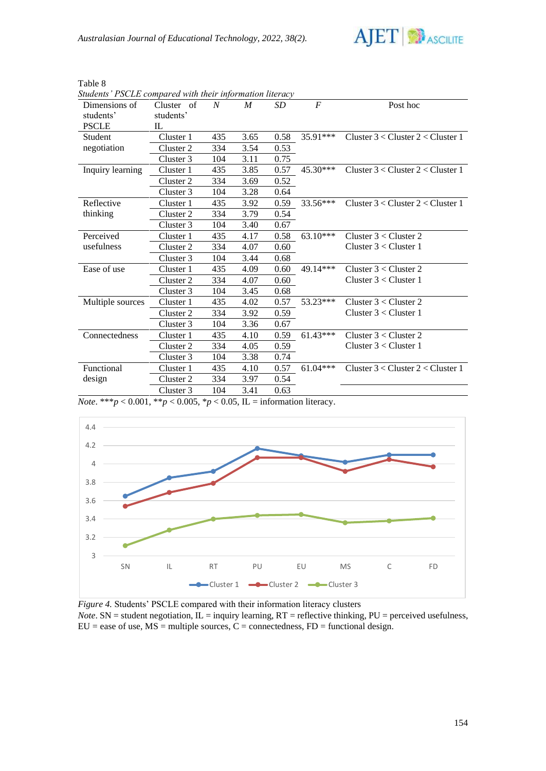

| Table 8 |  |
|---------|--|
|---------|--|

| suddents TSCLE compared with their information theracy |            |     |      |      |                  |                                       |
|--------------------------------------------------------|------------|-----|------|------|------------------|---------------------------------------|
| Dimensions of                                          | Cluster of | N   | M    | SD   | $\boldsymbol{F}$ | Post hoc                              |
| students'                                              | students'  |     |      |      |                  |                                       |
| <b>PSCLE</b>                                           | IL.        |     |      |      |                  |                                       |
| Student                                                | Cluster 1  | 435 | 3.65 | 0.58 | $35.91***$       | Cluster $3 <$ Cluster $2 <$ Cluster 1 |
| negotiation                                            | Cluster 2  | 334 | 3.54 | 0.53 |                  |                                       |
|                                                        | Cluster 3  | 104 | 3.11 | 0.75 |                  |                                       |
| Inquiry learning                                       | Cluster 1  | 435 | 3.85 | 0.57 | 45.30***         | Cluster $3 <$ Cluster $2 <$ Cluster 1 |
|                                                        | Cluster 2  | 334 | 3.69 | 0.52 |                  |                                       |
|                                                        | Cluster 3  | 104 | 3.28 | 0.64 |                  |                                       |
| Reflective                                             | Cluster 1  | 435 | 3.92 | 0.59 | 33.56***         | Cluster $3 <$ Cluster $2 <$ Cluster 1 |
| thinking                                               | Cluster 2  | 334 | 3.79 | 0.54 |                  |                                       |
|                                                        | Cluster 3  | 104 | 3.40 | 0.67 |                  |                                       |
| Perceived                                              | Cluster 1  | 435 | 4.17 | 0.58 | 63.10***         | Cluster $3 <$ Cluster 2               |
| usefulness                                             | Cluster 2  | 334 | 4.07 | 0.60 |                  | Cluster $3 <$ Cluster 1               |
|                                                        | Cluster 3  | 104 | 3.44 | 0.68 |                  |                                       |
| Ease of use                                            | Cluster 1  | 435 | 4.09 | 0.60 | 49.14***         | Cluster $3 <$ Cluster 2               |
|                                                        | Cluster 2  | 334 | 4.07 | 0.60 |                  | Cluster $3 <$ Cluster 1               |
|                                                        | Cluster 3  | 104 | 3.45 | 0.68 |                  |                                       |
| Multiple sources                                       | Cluster 1  | 435 | 4.02 | 0.57 | 53.23***         | Cluster $3 <$ Cluster 2               |
|                                                        | Cluster 2  | 334 | 3.92 | 0.59 |                  | Cluster $3 <$ Cluster 1               |
|                                                        | Cluster 3  | 104 | 3.36 | 0.67 |                  |                                       |
| Connectedness                                          | Cluster 1  | 435 | 4.10 | 0.59 | $61.43***$       | Cluster $3 <$ Cluster 2               |
|                                                        | Cluster 2  | 334 | 4.05 | 0.59 |                  | Cluster $3 <$ Cluster 1               |
|                                                        | Cluster 3  | 104 | 3.38 | 0.74 |                  |                                       |
| Functional                                             | Cluster 1  | 435 | 4.10 | 0.57 | $61.04***$       | Cluster $3 <$ Cluster $2 <$ Cluster 1 |
| design                                                 | Cluster 2  | 334 | 3.97 | 0.54 |                  |                                       |
|                                                        | Cluster 3  | 104 | 3.41 | 0.63 |                  |                                       |

*Students' PSCLE compared with their information literacy* 

*Note*. \*\*\**p* < 0.001, \*\**p* < 0.005, \**p* < 0.05, *IL* = information literacy.



*Figure 4.* Students' PSCLE compared with their information literacy clusters *Note*. SN = student negotiation,  $\overline{L}$  = inquiry learning,  $RT$  = reflective thinking,  $PU$  = perceived usefulness,  $EU = e$  as e of use,  $MS =$  multiple sources,  $C =$  connectedness,  $FD =$  functional design.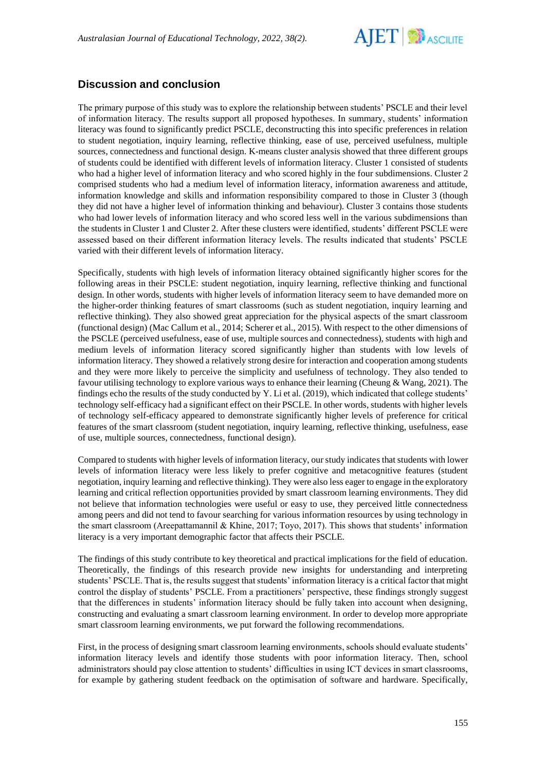

# **Discussion and conclusion**

The primary purpose of this study was to explore the relationship between students' PSCLE and their level of information literacy. The results support all proposed hypotheses. In summary, students' information literacy was found to significantly predict PSCLE, deconstructing this into specific preferences in relation to student negotiation, inquiry learning, reflective thinking, ease of use, perceived usefulness, multiple sources, connectedness and functional design. K-means cluster analysis showed that three different groups of students could be identified with different levels of information literacy. Cluster 1 consisted of students who had a higher level of information literacy and who scored highly in the four subdimensions. Cluster 2 comprised students who had a medium level of information literacy, information awareness and attitude, information knowledge and skills and information responsibility compared to those in Cluster 3 (though they did not have a higher level of information thinking and behaviour). Cluster 3 contains those students who had lower levels of information literacy and who scored less well in the various subdimensions than the students in Cluster 1 and Cluster 2. After these clusters were identified, students' different PSCLE were assessed based on their different information literacy levels. The results indicated that students' PSCLE varied with their different levels of information literacy.

Specifically, students with high levels of information literacy obtained significantly higher scores for the following areas in their PSCLE: student negotiation, inquiry learning, reflective thinking and functional design. In other words, students with higher levels of information literacy seem to have demanded more on the higher-order thinking features of smart classrooms (such as student negotiation, inquiry learning and reflective thinking). They also showed great appreciation for the physical aspects of the smart classroom (functional design) (Mac Callum et al., 2014; Scherer et al., 2015). With respect to the other dimensions of the PSCLE (perceived usefulness, ease of use, multiple sources and connectedness), students with high and medium levels of information literacy scored significantly higher than students with low levels of information literacy. They showed a relatively strong desire for interaction and cooperation among students and they were more likely to perceive the simplicity and usefulness of technology. They also tended to favour utilising technology to explore various ways to enhance their learning (Cheung & Wang, 2021). The findings echo the results of the study conducted by Y. Li et al. (2019), which indicated that college students' technology self-efficacy had a significant effect on their PSCLE. In other words, students with higher levels of technology self-efficacy appeared to demonstrate significantly higher levels of preference for critical features of the smart classroom (student negotiation, inquiry learning, reflective thinking, usefulness, ease of use, multiple sources, connectedness, functional design).

Compared to students with higher levels of information literacy, our study indicates that students with lower levels of information literacy were less likely to prefer cognitive and metacognitive features (student negotiation, inquiry learning and reflective thinking). They were also less eager to engage in the exploratory learning and critical reflection opportunities provided by smart classroom learning environments. They did not believe that information technologies were useful or easy to use, they perceived little connectedness among peers and did not tend to favour searching for various information resources by using technology in the smart classroom (Areepattamannil & Khine, 2017; Toyo, 2017). This shows that students' information literacy is a very important demographic factor that affects their PSCLE.

The findings of this study contribute to key theoretical and practical implications for the field of education. Theoretically, the findings of this research provide new insights for understanding and interpreting students' PSCLE. That is, the results suggest that students' information literacy is a critical factor that might control the display of students' PSCLE. From a practitioners' perspective, these findings strongly suggest that the differences in students' information literacy should be fully taken into account when designing, constructing and evaluating a smart classroom learning environment. In order to develop more appropriate smart classroom learning environments, we put forward the following recommendations.

First, in the process of designing smart classroom learning environments, schools should evaluate students' information literacy levels and identify those students with poor information literacy. Then, school administrators should pay close attention to students' difficulties in using ICT devices in smart classrooms, for example by gathering student feedback on the optimisation of software and hardware. Specifically,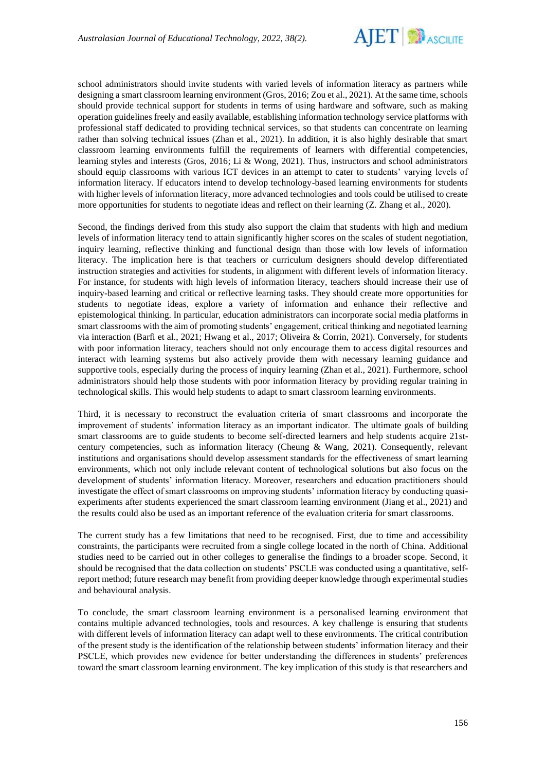

school administrators should invite students with varied levels of information literacy as partners while designing a smart classroom learning environment (Gros, 2016; Zou et al., 2021). At the same time, schools should provide technical support for students in terms of using hardware and software, such as making operation guidelines freely and easily available, establishing information technology service platforms with professional staff dedicated to providing technical services, so that students can concentrate on learning rather than solving technical issues (Zhan et al., 2021). In addition, it is also highly desirable that smart classroom learning environments fulfill the requirements of learners with differential competencies, learning styles and interests (Gros, 2016; Li & Wong, 2021). Thus, instructors and school administrators should equip classrooms with various ICT devices in an attempt to cater to students' varying levels of information literacy. If educators intend to develop technology-based learning environments for students with higher levels of information literacy, more advanced technologies and tools could be utilised to create more opportunities for students to negotiate ideas and reflect on their learning (Z. Zhang et al., 2020).

Second, the findings derived from this study also support the claim that students with high and medium levels of information literacy tend to attain significantly higher scores on the scales of student negotiation, inquiry learning, reflective thinking and functional design than those with low levels of information literacy. The implication here is that teachers or curriculum designers should develop differentiated instruction strategies and activities for students, in alignment with different levels of information literacy. For instance, for students with high levels of information literacy, teachers should increase their use of inquiry-based learning and critical or reflective learning tasks. They should create more opportunities for students to negotiate ideas, explore a variety of information and enhance their reflective and epistemological thinking. In particular, education administrators can incorporate social media platforms in smart classrooms with the aim of promoting students' engagement, critical thinking and negotiated learning via interaction (Barfi et al., 2021; Hwang et al., 2017; Oliveira & Corrin, 2021). Conversely, for students with poor information literacy, teachers should not only encourage them to access digital resources and interact with learning systems but also actively provide them with necessary learning guidance and supportive tools, especially during the process of inquiry learning (Zhan et al., 2021). Furthermore, school administrators should help those students with poor information literacy by providing regular training in technological skills. This would help students to adapt to smart classroom learning environments.

Third, it is necessary to reconstruct the evaluation criteria of smart classrooms and incorporate the improvement of students' information literacy as an important indicator. The ultimate goals of building smart classrooms are to guide students to become self-directed learners and help students acquire 21stcentury competencies, such as information literacy (Cheung & Wang, 2021). Consequently, relevant institutions and organisations should develop assessment standards for the effectiveness of smart learning environments, which not only include relevant content of technological solutions but also focus on the development of students' information literacy. Moreover, researchers and education practitioners should investigate the effect of smart classrooms on improving students' information literacy by conducting quasiexperiments after students experienced the smart classroom learning environment (Jiang et al., 2021) and the results could also be used as an important reference of the evaluation criteria for smart classrooms.

The current study has a few limitations that need to be recognised. First, due to time and accessibility constraints, the participants were recruited from a single college located in the north of China. Additional studies need to be carried out in other colleges to generalise the findings to a broader scope. Second, it should be recognised that the data collection on students' PSCLE was conducted using a quantitative, selfreport method; future research may benefit from providing deeper knowledge through experimental studies and behavioural analysis.

To conclude, the smart classroom learning environment is a personalised learning environment that contains multiple advanced technologies, tools and resources. A key challenge is ensuring that students with different levels of information literacy can adapt well to these environments. The critical contribution of the present study is the identification of the relationship between students' information literacy and their PSCLE, which provides new evidence for better understanding the differences in students' preferences toward the smart classroom learning environment. The key implication of this study is that researchers and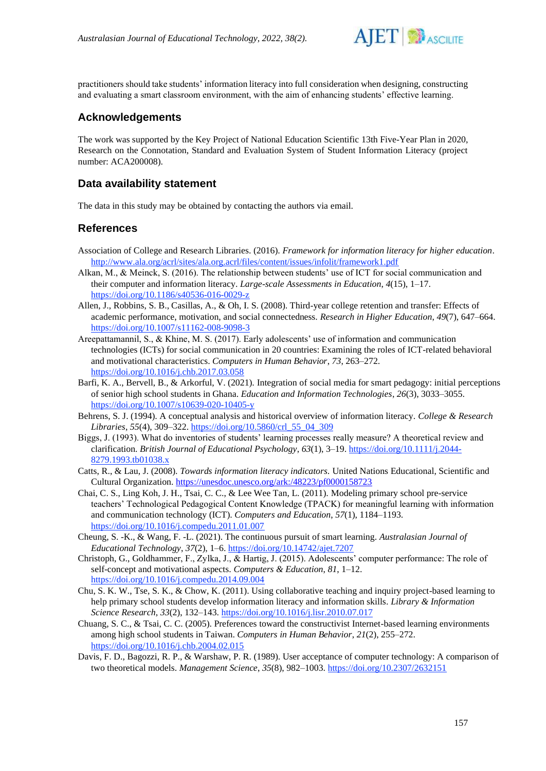

practitioners should take students' information literacy into full consideration when designing, constructing and evaluating a smart classroom environment, with the aim of enhancing students' effective learning.

### **Acknowledgements**

The work was supported by the Key Project of National Education Scientific 13th Five-Year Plan in 2020, Research on the Connotation, Standard and Evaluation System of Student Information Literacy (project number: ACA200008).

# **Data availability statement**

The data in this study may be obtained by contacting the authors via email.

### **References**

- Association of College and Research Libraries. (2016). *Framework for information literacy for higher education*. <http://www.ala.org/acrl/sites/ala.org.acrl/files/content/issues/infolit/framework1.pdf>
- Alkan, M., & Meinck, S. (2016). The relationship between students' use of ICT for social communication and their computer and information literacy. *Large-scale Assessments in Education*, *4*(15), 1–17. <https://doi.org/10.1186/s40536-016-0029-z>
- Allen, J., Robbins, S. B., Casillas, A., & Oh, I. S. (2008). Third-year college retention and transfer: Effects of academic performance, motivation, and social connectedness. *Research in Higher Education*, *49*(7), 647–664. <https://doi.org/10.1007/s11162-008-9098-3>
- Areepattamannil, S., & Khine, M. S. (2017). Early adolescents' use of information and communication technologies (ICTs) for social communication in 20 countries: Examining the roles of ICT-related behavioral and motivational characteristics. *Computers in Human Behavior*, *73*, 263–272. <https://doi.org/10.1016/j.chb.2017.03.058>
- Barfi, K. A., Bervell, B., & Arkorful, V. (2021). Integration of social media for smart pedagogy: initial perceptions of senior high school students in Ghana. *Education and Information Technologies*, *26*(3), 3033–3055. <https://doi.org/10.1007/s10639-020-10405-y>
- Behrens, S. J. (1994). A conceptual analysis and historical overview of information literacy. *College & Research Libraries*, *55*(4), 309–322. [https://doi.org/10.5860/crl\\_55\\_04\\_309](https://doi.org/10.5860/crl_55_04_309)
- Biggs, J. (1993). What do inventories of students' learning processes really measure? A theoretical review and clarification. *British Journal of Educational Psychology*, *63*(1), 3–19. [https://doi.org/10.1111/j.2044-](https://doi.org/10.1111/j.2044-8279.1993.tb01038.x) [8279.1993.tb01038.x](https://doi.org/10.1111/j.2044-8279.1993.tb01038.x)
- Catts, R., & Lau, J. (2008). *Towards information literacy indicators.* United Nations Educational, Scientific and Cultural Organization[. https://unesdoc.unesco.org/ark:/48223/pf0000158723](https://unesdoc.unesco.org/ark:/48223/pf0000158723)
- Chai, C. S., Ling Koh, J. H., Tsai, C. C., & Lee Wee Tan, L. (2011). Modeling primary school pre-service teachers' Technological Pedagogical Content Knowledge (TPACK) for meaningful learning with information and communication technology (ICT). *Computers and Education*, *57*(1), 1184–1193. [https://doi.org/10.1016/j.compedu.2011.01.007](https://doi.org/10.1016/j.compedu)
- Cheung, S. -K., & Wang, F. -L. (2021). The continuous pursuit of smart learning. *Australasian Journal of Educational Technology*, *37*(2), 1–6.<https://doi.org/10.14742/ajet.7207>
- Christoph, G., Goldhammer, F., Zylka, J., & Hartig, J. (2015). Adolescents' computer performance: The role of self-concept and motivational aspects. *Computers & Education*, *81*, 1–12. <https://doi.org/10.1016/j.compedu.2014.09.004>
- Chu, S. K. W., Tse, S. K., & Chow, K. (2011). Using collaborative teaching and inquiry project-based learning to help primary school students develop information literacy and information skills. *Library & Information Science Research*, *33*(2), 132–143.<https://doi.org/10.1016/j.lisr.2010.07.017>
- Chuang, S. C., & Tsai, C. C. (2005). Preferences toward the constructivist Internet-based learning environments among high school students in Taiwan. *Computers in Human Behavior*, *21*(2), 255–272. <https://doi.org/10.1016/j.chb.2004.02.015>
- Davis, F. D., Bagozzi, R. P., & Warshaw, P. R. (1989). User acceptance of computer technology: A comparison of two theoretical models. *Management Science*, *35*(8), 982–1003.<https://doi.org/10.2307/2632151>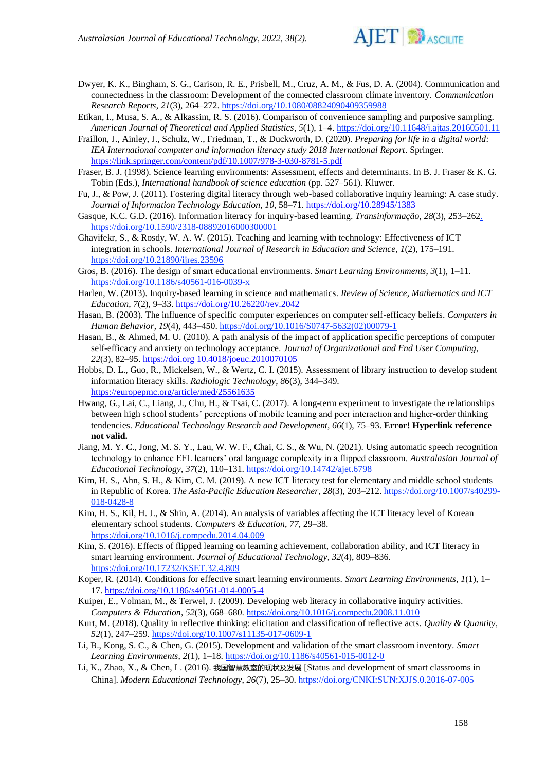

- Dwyer, K. K., Bingham, S. G., Carison, R. E., Prisbell, M., Cruz, A. M., & Fus, D. A. (2004). Communication and connectedness in the classroom: Development of the connected classroom climate inventory. *Communication Research Reports*, *21*(3), 264–272[. https://doi.org/10.1080/08824090409359988](https://doi.org/10.1080/08824090409359988)
- Etikan, I., Musa, S. A., & Alkassim, R. S. (2016). Comparison of convenience sampling and purposive sampling. *American Journal of Theoretical and Applied Statistics*, *5*(1), 1–4.<https://doi.org/10.11648/j.ajtas.20160501.11>
- Fraillon, J., Ainley, J., Schulz, W., Friedman, T., & Duckworth, D. (2020). *Preparing for life in a digital world: IEA International computer and information literacy study 2018 International Report*. Springer. <https://link.springer.com/content/pdf/10.1007/978-3-030-8781-5.pdf>
- Fraser, B. J. (1998). Science learning environments: Assessment, effects and determinants. In B. J. Fraser & K. G. Tobin (Eds.), *International handbook of science education* (pp. 527–561). Kluwer.
- Fu, J., & Pow, J. (2011). Fostering digital literacy through web-based collaborative inquiry learning: A case study. *Journal of Information Technology Education*, *10*, 58–71[. https://doi.org/10.28945/1383](https://doi.org/10.28945/1383)
- Gasque, K.C. G.D. (2016). Information literacy for inquiry-based learning. *Transinformação*, *28*(3), 253–26[2.](https://doi.org/10.1590/2318-08892016000300001)  <https://doi.org/10.1590/2318-08892016000300001>
- Ghavifekr, S., & Rosdy, W. A. W. (2015). Teaching and learning with technology: Effectiveness of ICT integration in schools. *International Journal of Research in Education and Science*, *1*(2), 175–191. <https://doi.org/10.21890/ijres.23596>
- Gros, B. (2016). The design of smart educational environments. *Smart Learning Environments*, *3*(1), 1–11. [https://doi.org/10.1186/s40561-016-0039-x](https://doi.org/10.21890/ijres.23596)
- Harlen, W. (2013). Inquiry-based learning in science and mathematics. *Review of Science, Mathematics and ICT Education*, *7*(2), 9–33. <https://doi.org/10.26220/rev.2042>
- Hasan, B. (2003). The influence of specific computer experiences on computer self-efficacy beliefs. *Computers in Human Behavior*, *19*(4), 443–450[. https://doi.org/10.1016/S0747-5632\(02\)00079-1](https://doi.org/10.1016/S0747-5632(02)00079-1)
- Hasan, B., & Ahmed, M. U. (2010). A path analysis of the impact of application specific perceptions of computer self-efficacy and anxiety on technology acceptance. *Journal of Organizational and End User Computing*, *22*(3), 82–95. [https://doi.org 10.4018/joeuc.2010070105](https://doi.org/10.4018/joeuc.2010070105)
- Hobbs, D. L., Guo, R., Mickelsen, W., & Wertz, C. I. (2015). Assessment of library instruction to develop student information literacy skills. *Radiologic Technology*, *86*(3), 344–349. <https://europepmc.org/article/med/25561635>
- Hwang, G., Lai, C., Liang, J., Chu, H., & Tsai, C. (2017). A long-term experiment to investigate the relationships between high school students' perceptions of mobile learning and peer interaction and higher-order thinking tendencies. *Educational Technology Research and Development*, *66*(1), 75–93. **Error! Hyperlink reference not valid.**
- Jiang, M. Y. C., Jong, M. S. Y., Lau, W. W. F., Chai, C. S., & Wu, N. (2021). Using automatic speech recognition technology to enhance EFL learners' oral language complexity in a flipped classroom. *Australasian Journal of Educational Technology*, *37*(2), 110–131.<https://doi.org/10.14742/ajet.6798>
- Kim, H. S., Ahn, S. H., & Kim, C. M. (2019). A new ICT literacy test for elementary and middle school students in Republic of Korea. *The Asia-Pacific Education Researcher*, *28*(3), 203–212[. https://doi.org/10.1007/s40299-](https://doi.org/10.1007/s40299-018-0428-8) [018-0428-8](https://doi.org/10.1007/s40299-018-0428-8)
- Kim, H. S., Kil, H. J., & Shin, A. (2014). An analysis of variables affecting the ICT literacy level of Korean elementary school students. *Computers & Education*, *77*, 29–38. <https://doi.org/10.1016/j.compedu.2014.04.009>
- Kim, S. (2016). Effects of flipped learning on learning achievement, collaboration ability, and ICT literacy in smart learning environment. *Journal of Educational Technology*, *32*(4), 809–836. <https://doi.org/10.17232/KSET.32.4.809>
- Koper, R. (2014). Conditions for effective smart learning environments. *Smart Learning Environments*, *1*(1), 1– 17.<https://doi.org/10.1186/s40561-014-0005-4>
- Kuiper, E., Volman, M., & Terwel, J. (2009). Developing web literacy in collaborative inquiry activities. *Computers & Education*, *52*(3), 668–680[. https://doi.org/10.1016/j.compedu.2008.11.010](https://doi.org/10.1016/j.compedu.2008.11.010)
- Kurt, M. (2018). Quality in reflective thinking: elicitation and classification of reflective acts. *Quality & Quantity*, *52*(1), 247–259.<https://doi.org/10.1007/s11135-017-0609-1>
- Li, B., Kong, S. C., & Chen, G. (2015). Development and validation of the smart classroom inventory. *Smart Learning Environments*, *2*(1), 1–18[. https://doi.org/10.1186/s40561-015-0012-0](https://doi.org/10.1186/s40561-015-0012-0)
- Li, K., Zhao, X., & Chen, L. (2016). 我国智慧教室的现状及发展 [Status and development of smart classrooms in China]. *Modern Educational Technology*, *26*(7), 25–30.<https://doi.org/CNKI:SUN:XJJS.0.2016-07-005>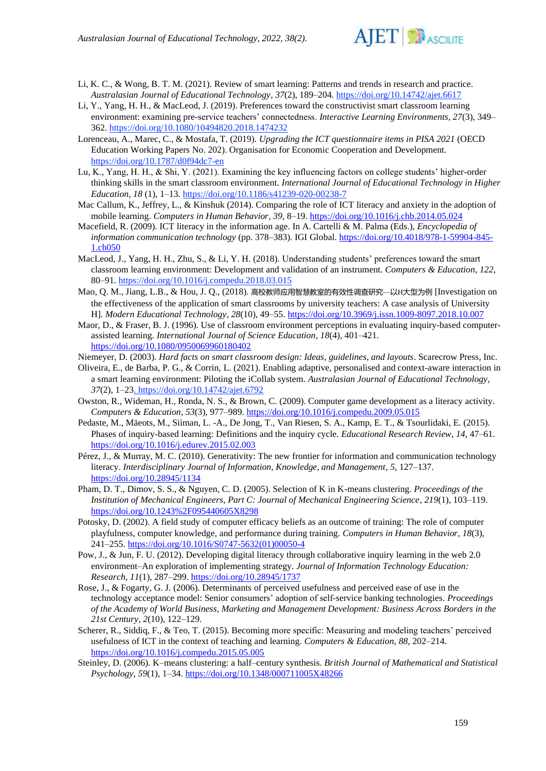

- Li, K. C., & Wong, B. T. M. (2021). Review of smart learning: Patterns and trends in research and practice. *Australasian Journal of Educational Technology*, *37*(2), 189–204[. https://doi.org/10.14742/ajet.6617](https://doi.org/10.14742/ajet.6617)
- Li, Y., Yang, H. H., & MacLeod, J. (2019). Preferences toward the constructivist smart classroom learning environment: examining pre-service teachers' connectedness. *Interactive Learning Environments, 27*(3), 349– 362.<https://doi.org/10.1080/10494820.2018.1474232>
- Lorenceau, A., Marec, C., & Mostafa, T. (2019). *Upgrading the ICT questionnaire items in PISA 2021* (OECD Education Working Papers No. 202). Organisation for Economic Cooperation and Development. <https://doi.org/10.1787/d0f94dc7-en>
- Lu, K., Yang, H. H., & Shi, Y. (2021). Examining the key influencing factors on college students' higher-order thinking skills in the smart classroom environment. *International Journal of Educational Technology in Higher Education*, *18* (1), 1–13.<https://doi.org/10.1186/s41239-020-00238-7>
- Mac Callum, K., Jeffrey, L., & Kinshuk (2014). Comparing the role of ICT literacy and anxiety in the adoption of mobile learning. *Computers in Human Behavior*, *39*, 8–19[. https://doi.org/10.1016/j.chb.2014.05.024](https://doi.org/10.1016/j.chb.2014.05.024)
- Macefield, R. (2009). ICT literacy in the information age. In A. Cartelli & M. Palma (Eds.), *Encyclopedia of information communication technology* (pp. 378–383). IGI Global. [https://doi.org/10.4018/978-1-59904-845-](https://doi.org/10.4018/978-1-59904-845-1.ch050) [1.ch050](https://doi.org/10.4018/978-1-59904-845-1.ch050)
- MacLeod, J., Yang, H. H., Zhu, S., & Li, Y. H. (2018). Understanding students' preferences toward the smart classroom learning environment: Development and validation of an instrument. *Computers & Education*, *122*, 80–91.<https://doi.org/10.1016/j.compedu.2018.03.015>
- Mao, Q. M., Jiang, L.B., & Hou, J. Q., (2018). 高校教师应用智慧教室的有效性调查研究—以H大型为例 [Investigation on the effectiveness of the application of smart classrooms by university teachers: A case analysis of University H]. *Modern Educational Technology*, *28*(10), 49–55[. https://doi.org/10.3969/j.issn.1009-8097.2018.10.007](https://doi.org/10.3969/j.issn.1009-8097.2018.10.007)
- Maor, D., & Fraser, B. J. (1996). Use of classroom environment perceptions in evaluating inquiry-based computerassisted learning. *International Journal of Science Education*, *18*(4), 401–421. <https://doi.org/10.1080/0950069960180402>
- Niemeyer, D. (2003). *Hard facts on smart classroom design: Ideas, guidelines, and layouts*. Scarecrow Press, Inc.
- Oliveira, E., de Barba, P. G., & Corrin, L. (2021). Enabling adaptive, personalised and context-aware interaction in a smart learning environment: Piloting the iCollab system. *Australasian Journal of Educational Technology*, *37*(2), 1–23.<https://doi.org/10.14742/ajet.6792>
- Owston, R., Wideman, H., Ronda, N. S., & Brown, C. (2009). Computer game development as a literacy activity. *Computers & Education*, *53*(3), 977–989[. https://doi.org/10.1016/j.compedu.2009.05.015](https://doi.org/10.1016/j.compedu.2009.05.015)
- Pedaste, M., Mäeots, M., Siiman, L. -A., De Jong, T., Van Riesen, S. A., Kamp, E. T., & Tsourlidaki, E. (2015). Phases of inquiry-based learning: Definitions and the inquiry cycle. *Educational Research Review*, *14*, 47–61. <https://doi.org/10.1016/j.edurev.2015.02.003>
- Pérez, J., & Murray, M. C. (2010). Generativity: The new frontier for information and communication technology literacy. *Interdisciplinary Journal of Information, Knowledge, and Management*, *5*, 127–137. <https://doi.org/10.28945/1134>
- Pham, D. T., Dimov, S. S., & Nguyen, C. D. (2005). Selection of K in K-means clustering. *Proceedings of the Institution of Mechanical Engineers, Part C: Journal of Mechanical Engineering Science*, *219*(1), 103–119. <https://doi.org/10.1243%2F095440605X8298>
- Potosky, D. (2002). A field study of computer efficacy beliefs as an outcome of training: The role of computer playfulness, computer knowledge, and performance during training. *Computers in Human Behavior*, *18*(3), 241–255. [https://doi.org/10.1016/S0747-5632\(01\)00050-4](https://doi.org/10.1016/S0747-5632(01)00050-4)
- Pow, J., & Jun, F. U. (2012). Developing digital literacy through collaborative inquiry learning in the web 2.0 environment–An exploration of implementing strategy. *Journal of Information Technology Education: Research*, *11*(1), 287–299.<https://doi.org/10.28945/1737>
- Rose, J., & Fogarty, G. J. (2006). Determinants of perceived usefulness and perceived ease of use in the technology acceptance model: Senior consumers' adoption of self-service banking technologies. *Proceedings of the Academy of World Business, Marketing and Management Development: Business Across Borders in the 21st Century, 2*(10), 122–129.
- Scherer, R., Siddiq, F., & Teo, T. (2015). Becoming more specific: Measuring and modeling teachers' perceived usefulness of ICT in the context of teaching and learning. *Computers & Education*, *88*, 202–214. <https://doi.org/10.1016/j.compedu.2015.05.005>
- Steinley, D. (2006). K–means clustering: a half–century synthesis. *British Journal of Mathematical and Statistical Psychology*, *59*(1), 1–34.<https://doi.org/10.1348/000711005X48266>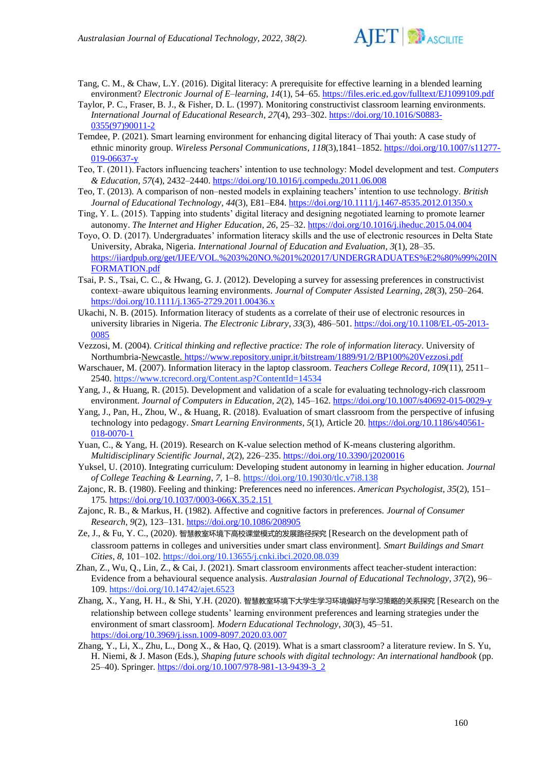

- Tang, C. M., & Chaw, L.Y. (2016). Digital literacy: A prerequisite for effective learning in a blended learning environment? *Electronic Journal of E–learning*, *14*(1), 54–65[. https://files.eric.ed.gov/fulltext/EJ1099109.pdf](https://files.eric.ed.gov/fulltext/EJ1099109.pdf)
- Taylor, P. C., Fraser, B. J., & Fisher, D. L. (1997). Monitoring constructivist classroom learning environments. *International Journal of Educational Research*, *27*(4), 293–302[. https://doi.org/10.1016/S0883-](https://doi.org/10.1016/S0883-0355(97)90011-2) [0355\(97\)90011-2](https://doi.org/10.1016/S0883-0355(97)90011-2)
- Temdee, P. (2021). Smart learning environment for enhancing digital literacy of Thai youth: A case study of ethnic minority group. *Wireless Personal Communications*, *118*(3),1841–1852. [https://doi.org/10.1007/s11277-](https://doi.org/10.1007/s11277-019-06637-y) [019-06637-y](https://doi.org/10.1007/s11277-019-06637-y)
- Teo, T. (2011). Factors influencing teachers' intention to use technology: Model development and test. *Computers & Education*, *57*(4), 2432–2440.<https://doi.org/10.1016/j.compedu.2011.06.008>
- Teo, T. (2013). A comparison of non*–*nested models in explaining teachers' intention to use technology. *British Journal of Educational Technology*, *44*(3), E81–E84.<https://doi.org/10.1111/j.1467-8535.2012.01350.x>
- Ting, Y. L. (2015). Tapping into students' digital literacy and designing negotiated learning to promote learner autonomy. *The Internet and Higher Education*, *26*, 25–32[. https://doi.org/10.1016/j.iheduc.2015.04.004](https://doi.org/10.1016/j.iheduc.2015.04.004)
- Toyo, O. D. (2017). Undergraduates' information literacy skills and the use of electronic resources in Delta State University, Abraka, Nigeria. *International Journal of Education and Evaluation*, *3*(1), 28–35. [https://iiardpub.org/get/IJEE/VOL.%203%20NO.%201%202017/UNDERGRADUATES%E2%80%99%20IN](https://iiardpub.org/get/IJEE/VOL.%203%20NO.%201%202017/UNDERGRADUATES%E2%80%99%20INFORMATION.pdf) [FORMATION.pdf](https://iiardpub.org/get/IJEE/VOL.%203%20NO.%201%202017/UNDERGRADUATES%E2%80%99%20INFORMATION.pdf)
- Tsai, P. S., Tsai, C. C., & Hwang, G. J. (2012). Developing a survey for assessing preferences in constructivist context*–*aware ubiquitous learning environments. *Journal of Computer Assisted Learning*, *28*(3), 250–264. <https://doi.org/10.1111/j.1365-2729.2011.00436.x>
- Ukachi, N. B. (2015). Information literacy of students as a correlate of their use of electronic resources in university libraries in Nigeria. *The Electronic Library*, *33*(3), 486–501. [https://doi.org/10.1108/EL-05-2013-](https://doi.org/10.1108/EL-05-2013-0085) [0085](https://doi.org/10.1108/EL-05-2013-0085)
- Vezzosi, M. (2004). *Critical thinking and reflective practice: The role of information literacy*. University of Northumbria-Newcastle.<https://www.repository.unipr.it/bitstream/1889/91/2/BP100%20Vezzosi.pdf>
- Warschauer, M. (2007). Information literacy in the laptop classroom. *Teachers College Record*, *109*(11), 2511– 2540.<https://www.tcrecord.org/Content.asp?ContentId=14534>
- Yang, J., & Huang, R. (2015). Development and validation of a scale for evaluating technology-rich classroom environment. *Journal of Computers in Education, 2*(2), 145–162.<https://doi.org/10.1007/s40692-015-0029-y>
- Yang, J., Pan, H., Zhou, W., & Huang, R. (2018). Evaluation of smart classroom from the perspective of infusing technology into pedagogy. *Smart Learning Environments*, *5*(1), Article 20. [https://doi.org/10.1186/s40561-](https://doi.org/10.1186/s40561-018-0070-1) [018-0070-1](https://doi.org/10.1186/s40561-018-0070-1)
- Yuan, C., & Yang, H. (2019). Research on K-value selection method of K-means clustering algorithm. *Multidisciplinary Scientific Journal*, *2*(2), 226–235[. https://doi.org/10.3390/j2020016](https://doi.org/10.3390/j2020016)
- Yuksel, U. (2010). Integrating curriculum: Developing student autonomy in learning in higher education. *Journal of College Teaching & Learning*, *7*, 1–8.<https://doi.org/10.19030/tlc.v7i8.138>
- Zajonc, R. B. (1980). Feeling and thinking: Preferences need no inferences. *American Psychologist*, *35*(2), 151– 175.<https://doi.org/10.1037/0003-066X.35.2.151>
- Zajonc, R. B., & Markus, H. (1982). Affective and cognitive factors in preferences. *Journal of Consumer Research*, *9*(2), 123–131.<https://doi.org/10.1086/208905>
- Ze, J., & Fu, Y. C., (2020). 智慧教室环境下高校课堂模式的发展路径探究 [Research on the development path of classroom patterns in colleges and universities under smart class environment]. *Smart Buildings and Smart Cities*, *8*, 101–102[. https://doi.org/10.13655/j.cnki.ibci.2020.08.039](https://doi.org/10.13655/j.cnki.ibci.2020.08.039)
- Zhan, Z., Wu, Q., Lin, Z., & Cai, J. (2021). Smart classroom environments affect teacher-student interaction: Evidence from a behavioural sequence analysis. *Australasian Journal of Educational Technology*, *37*(2), 96– 109.<https://doi.org/10.14742/ajet.6523>
- Zhang, X., Yang, H. H., & Shi, Y.H. (2020). 智慧教室环境下大学生学习环境偏好与学习策略的关系探究 [Research on the relationship between college students' learning environment preferences and learning strategies under the environment of smart classroom]*. Modern Educational Technology*, *30*(3), 45–51. <https://doi.org/10.3969/j.issn.1009-8097.2020.03.007>
- Zhang, Y., Li, X., Zhu, L., Dong X., & Hao, Q. (2019). What is a smart classroom? a literature review. In S. Yu, H. Niemi, & J. Mason (Eds.), *Shaping future schools with digital technology: An international handbook* (pp. 25-40). Springer. [https://doi.org/10.1007/978-981-13-9439-3\\_2](https://doi.org/10.1007/978-981-13-9439-3_2)